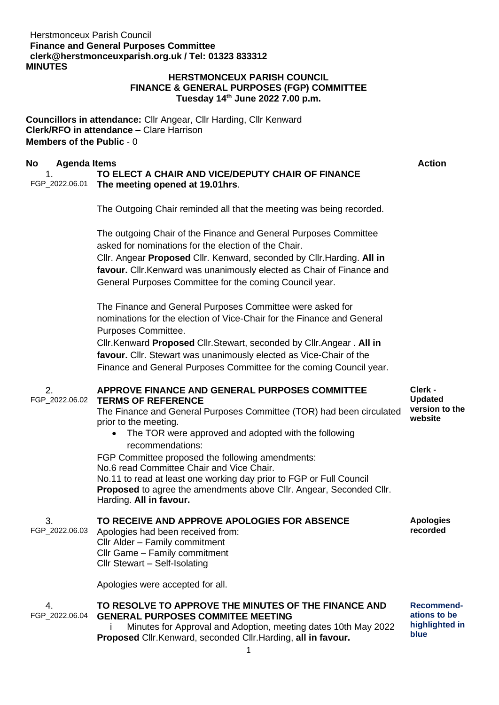# Herstmonceux Parish Council **Finance and General Purposes Committe[e](mailto:clerk@herstmonceuxparish.org.uk) [clerk@herstmonceuxparish.org.uk](mailto:clerk@herstmonceuxparish.org.uk) / Tel: 01323 833312 MINUTES**

## **HERSTMONCEUX PARISH COUNCIL FINANCE & GENERAL PURPOSES (FGP) COMMITTEE Tuesday 14th June 2022 7.00 p.m.**

**Councillors in attendance:** Cllr Angear, Cllr Harding, Cllr Kenward **Clerk/RFO in attendance –** Clare Harrison **Members of the Public** - 0

# **No Agenda Items Action**

### 1. FGP\_2022.06.01 **The meeting opened at 19.01hrs**. **TO ELECT A CHAIR AND VICE/DEPUTY CHAIR OF FINANCE**

The Outgoing Chair reminded all that the meeting was being recorded.

The outgoing Chair of the Finance and General Purposes Committee asked for nominations for the election of the Chair. Cllr. Angear **Proposed** Cllr. Kenward, seconded by Cllr.Harding. **All in favour.** Cllr.Kenward was unanimously elected as Chair of Finance and General Purposes Committee for the coming Council year.

The Finance and General Purposes Committee were asked for nominations for the election of Vice-Chair for the Finance and General Purposes Committee.

Cllr.Kenward **Proposed** Cllr.Stewart, seconded by Cllr.Angear . **All in favour.** Cllr. Stewart was unanimously elected as Vice-Chair of the Finance and General Purposes Committee for the coming Council year.

#### 2. FGP\_2022.06.02 **APPROVE FINANCE AND GENERAL PURPOSES COMMITTEE TERMS OF REFERENCE**

The Finance and General Purposes Committee (TOR) had been circulated prior to the meeting.

• The TOR were approved and adopted with the following recommendations:

FGP Committee proposed the following amendments: No.6 read Committee Chair and Vice Chair. No.11 to read at least one working day prior to FGP or Full Council **Proposed** to agree the amendments above Cllr. Angear, Seconded Cllr. Harding. **All in favour.**

#### 3. **TO RECEIVE AND APPROVE APOLOGIES FOR ABSENCE**

FGP\_2022.06.03

# Apologies had been received from: Cllr Alder – Family commitment Cllr Game – Family commitment Cllr Stewart – Self-Isolating

Apologies were accepted for all.

#### 4. FGP\_2022.06.04 **TO RESOLVE TO APPROVE THE MINUTES OF THE FINANCE AND GENERAL PURPOSES COMMITEE MEETING**

i Minutes for Approval and Adoption, meeting dates 10th May 2022 **Proposed** Cllr.Kenward, seconded Cllr.Harding, **all in favour.**

**Clerk - Updated version to the website**

**Apologies recorded**

**Recommendations to be highlighted in blue**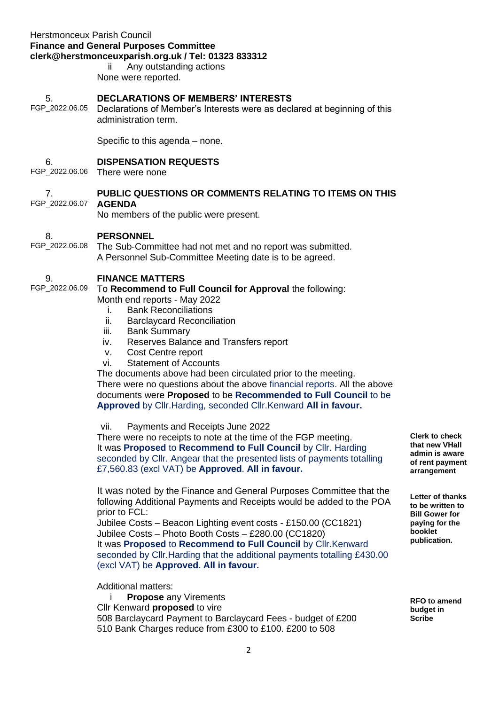# Herstmonceux Parish Council **Finance and General Purposes Committe[e](mailto:clerk@herstmonceuxparish.org.uk) [clerk@herstmonceuxparish.org.uk](mailto:clerk@herstmonceuxparish.org.uk) / Tel: 01323 833312**

ii Any outstanding actions None were reported.

#### 5. **DECLARATIONS OF MEMBERS' INTERESTS**

FGP\_2022.06.05 Declarations of Member's Interests were as declared at beginning of this administration term.

Specific to this agenda – none.

#### 6. **DISPENSATION REQUESTS**

FGP\_2022.06.06 There were none

#### 7. FGP\_2022.06.07 **PUBLIC QUESTIONS OR COMMENTS RELATING TO ITEMS ON THIS AGENDA**

No members of the public were present.

#### 8. **PERSONNEL**

FGP\_2022.06.08 The Sub-Committee had not met and no report was submitted. A Personnel Sub-Committee Meeting date is to be agreed.

#### 9. **FINANCE MATTERS**

FGP\_2022.06.09 To **Recommend to Full Council for Approval** the following: Month end reports - May 2022

- i. Bank Reconciliations
- ii. Barclaycard Reconciliation
- iii. Bank Summary
- iv. Reserves Balance and Transfers report
- v. Cost Centre report
- vi. Statement of Accounts

The documents above had been circulated prior to the meeting.

There were no questions about the above financial reports. All the above documents were **Proposed** to be **Recommended to Full Council** to be **Approved** by Cllr.Harding, seconded Cllr.Kenward **All in favour.**

vii. Payments and Receipts June 2022

There were no receipts to note at the time of the FGP meeting. It was **Proposed** to **Recommend to Full Council** by Cllr. Harding seconded by Cllr. Angear that the presented lists of payments totalling £7,560.83 (excl VAT) be **Approved**. **All in favour.**

It was noted by the Finance and General Purposes Committee that the following Additional Payments and Receipts would be added to the POA prior to FCL:

Jubilee Costs – Beacon Lighting event costs - £150.00 (CC1821) Jubilee Costs – Photo Booth Costs – £280.00 (CC1820) It was **Proposed** to **Recommend to Full Council** by Cllr.Kenward seconded by Cllr.Harding that the additional payments totalling £430.00 (excl VAT) be **Approved**. **All in favour.**

Additional matters:

i **Propose** any Virements Cllr Kenward **proposed** to vire 508 Barclaycard Payment to Barclaycard Fees - budget of £200 510 Bank Charges reduce from £300 to £100. £200 to 508

**Clerk to check that new VHall admin is aware of rent payment arrangement**

**Letter of thanks to be written to Bill Gower for paying for the booklet publication.**

**RFO to amend budget in Scribe**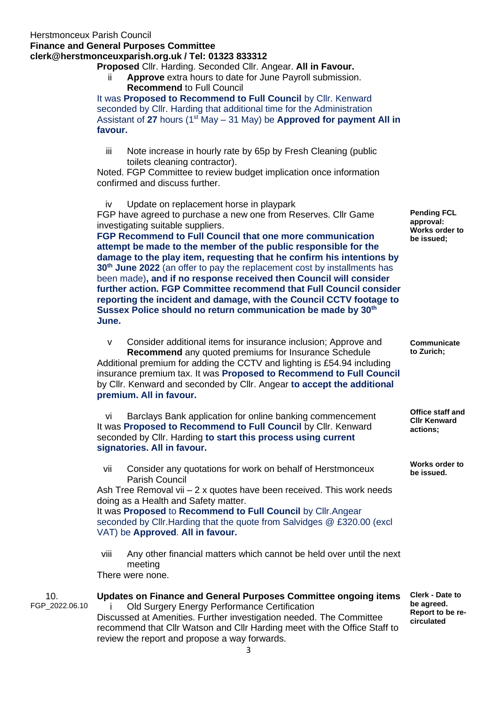# **Finance and General Purposes Committe[e](mailto:clerk@herstmonceuxparish.org.uk)**

# **[clerk@herstmonceuxparish.org.uk](mailto:clerk@herstmonceuxparish.org.uk) / Tel: 01323 833312**

**Proposed** Cllr. Harding. Seconded Cllr. Angear. **All in Favour.**

ii **Approve** extra hours to date for June Payroll submission. **Recommend** to Full Council

It was **Proposed to Recommend to Full Council** by Cllr. Kenward seconded by Cllr. Harding that additional time for the Administration Assistant of **27** hours (1st May – 31 May) be **Approved for payment All in favour.**

iii Note increase in hourly rate by 65p by Fresh Cleaning (public toilets cleaning contractor).

Noted. FGP Committee to review budget implication once information confirmed and discuss further.

iv Update on replacement horse in playpark

FGP have agreed to purchase a new one from Reserves. Cllr Game investigating suitable suppliers.

**FGP Recommend to Full Council that one more communication attempt be made to the member of the public responsible for the damage to the play item, requesting that he confirm his intentions by 30th June 2022** (an offer to pay the replacement cost by installments has been made)**, and if no response received then Council will consider further action. FGP Committee recommend that Full Council consider reporting the incident and damage, with the Council CCTV footage to Sussex Police should no return communication be made by 30th June.** 

v Consider additional items for insurance inclusion; Approve and **Recommend** any quoted premiums for Insurance Schedule Additional premium for adding the CCTV and lighting is £54.94 including insurance premium tax. It was **Proposed to Recommend to Full Council** by Cllr. Kenward and seconded by Cllr. Angear **to accept the additional premium. All in favour.**

vi Barclays Bank application for online banking commencement It was **Proposed to Recommend to Full Council** by Cllr. Kenward seconded by Cllr. Harding **to start this process using current signatories. All in favour.**

vii Consider any quotations for work on behalf of Herstmonceux Parish Council

Ash Tree Removal vii – 2 x quotes have been received. This work needs doing as a Health and Safety matter.

It was **Proposed** to **Recommend to Full Council** by Cllr.Angear seconded by Cllr.Harding that the quote from Salvidges @ £320.00 (excl VAT) be **Approved**. **All in favour.**

viii Any other financial matters which cannot be held over until the next meeting

There were none.

| 10.<br>FGP 2022.06.10 | Updates on Finance and General Purposes Committee ongoing items<br>Old Surgery Energy Performance Certification<br>Discussed at Amenities. Further investigation needed. The Committee<br>recommend that CIIr Watson and CIIr Harding meet with the Office Staff to<br>review the report and propose a way forwards. | <b>Clerk - Date to</b><br>be agreed.<br>Report to be re-<br>circulated |
|-----------------------|----------------------------------------------------------------------------------------------------------------------------------------------------------------------------------------------------------------------------------------------------------------------------------------------------------------------|------------------------------------------------------------------------|
|                       |                                                                                                                                                                                                                                                                                                                      |                                                                        |

**Pending FCL approval: Works order to be issued;**

**Communicate to Zurich;**

**Office staff and Cllr Kenward actions;**

**Works order to be issued.**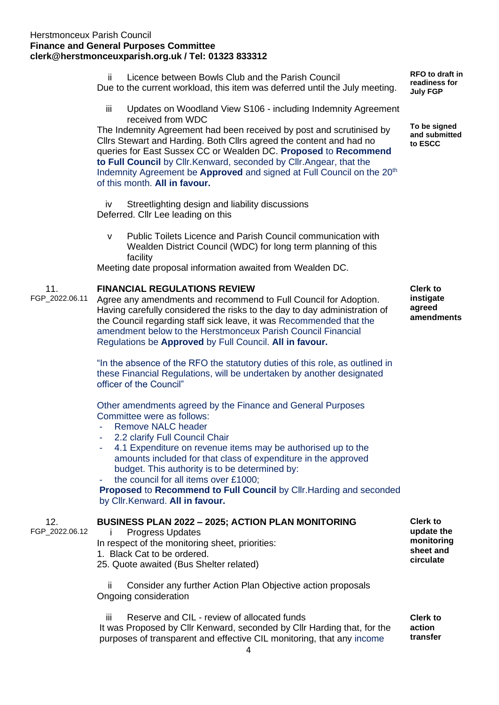# Herstmonceux Parish Council **Finance and General Purposes Committe[e](mailto:clerk@herstmonceuxparish.org.uk) [clerk@herstmonceuxparish.org.uk](mailto:clerk@herstmonceuxparish.org.uk) / Tel: 01323 833312**

- ii Licence between Bowls Club and the Parish Council Due to the current workload, this item was deferred until the July meeting.
	- iii Updates on Woodland View S106 including Indemnity Agreement received from WDC

The Indemnity Agreement had been received by post and scrutinised by Cllrs Stewart and Harding. Both Cllrs agreed the content and had no queries for East Sussex CC or Wealden DC. **Proposed** to **Recommend to Full Council** by Cllr.Kenward, seconded by Cllr.Angear, that the Indemnity Agreement be **Approved** and signed at Full Council on the 20<sup>th</sup> of this month. **All in favour.**

iv Streetlighting design and liability discussions Deferred. Cllr Lee leading on this

v Public Toilets Licence and Parish Council communication with Wealden District Council (WDC) for long term planning of this facility

Meeting date proposal information awaited from Wealden DC.

#### 11. **FINANCIAL REGULATIONS REVIEW**

FGP\_2022.06.11

Agree any amendments and recommend to Full Council for Adoption. Having carefully considered the risks to the day to day administration of the Council regarding staff sick leave, it was Recommended that the amendment below to the Herstmonceux Parish Council Financial Regulations be **Approved** by Full Council. **All in favour.**

"In the absence of the RFO the statutory duties of this role, as outlined in these Financial Regulations, will be undertaken by another designated officer of the Council"

Other amendments agreed by the Finance and General Purposes Committee were as follows:

- Remove NALC header
- 2.2 clarify Full Council Chair
- 4.1 Expenditure on revenue items may be authorised up to the amounts included for that class of expenditure in the approved budget. This authority is to be determined by:
- the council for all items over  $£1000;$

**Proposed** to **Recommend to Full Council** by Cllr.Harding and seconded by Cllr.Kenward. **All in favour.**

### **BUSINESS PLAN 2022 – 2025; ACTION PLAN MONITORING**  i Progress Updates

12. FGP\_2022.06.12

- In respect of the monitoring sheet, priorities: 1. Black Cat to be ordered.
- 25. Quote awaited (Bus Shelter related)

ii Consider any further Action Plan Objective action proposals Ongoing consideration

iii Reserve and CIL - review of allocated funds It was Proposed by Cllr Kenward, seconded by Cllr Harding that, for the purposes of transparent and effective CIL monitoring, that any income

**RFO to draft in readiness for July FGP**

**To be signed and submitted to ESCC**

**Clerk to instigate agreed amendments**

**Clerk to update the monitoring sheet and circulate**

**Clerk to action transfer**